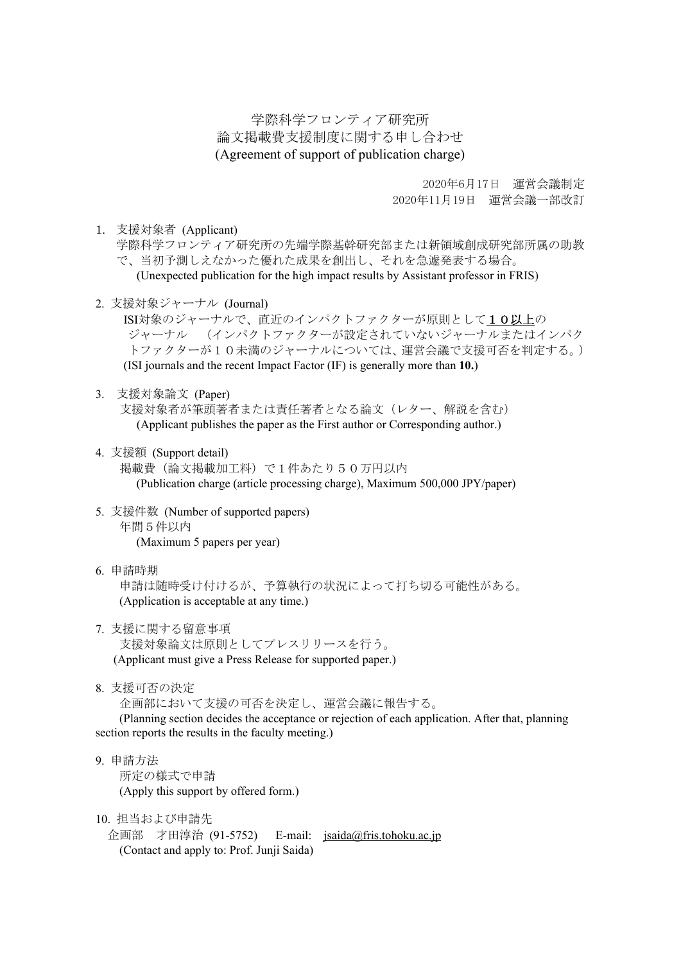学際科学フロンティア研究所 論文掲載費支援制度に関する申し合わせ (Agreement of support of publication charge)

> 2020年6月17日 運営会議制定 2020年11月19日 運営会議一部改訂

1. 支援対象者 (Applicant)

学際科学フロンティア研究所の先端学際基幹研究部または新領域創成研究部所属の助教 で、当初予測しえなかった優れた成果を創出し、それを急遽発表する場合。 (Unexpected publication for the high impact results by Assistant professor in FRIS)

2. 支援対象ジャーナル (Journal)

ISI対象のジャーナルで、直近のインパクトファクターが原則として10以上の ジャーナル (インパクトファクターが設定されていないジャーナルまたはインパク トファクターが10未満のジャーナルについては、運営会議で支援可否を判定する。) (ISI journals and the recent Impact Factor (IF) is generally more than **10.**)

3. 支援対象論文 (Paper)

支援対象者が筆頭著者または責任著者となる論文(レター、解説を含む) (Applicant publishes the paper as the First author or Corresponding author.)

- 4. 支援額 (Support detail) 掲載費(論文掲載加工料)で1件あたり50万円以内 (Publication charge (article processing charge), Maximum 500,000 JPY/paper)
- 5. 支援件数 (Number of supported papers) 年間5件以内 (Maximum 5 papers per year)
- 6. 申請時期 申請は随時受け付けるが、予算執行の状況によって打ち切る可能性がある。 (Application is acceptable at any time.)
- 7. 支援に関する留意事項 支援対象論文は原則としてプレスリリースを行う。 (Applicant must give a Press Release for supported paper.)
- 8. 支援可否の決定

企画部において支援の可否を決定し、運営会議に報告する。

(Planning section decides the acceptance or rejection of each application. After that, planning section reports the results in the faculty meeting.)

9. 申請方法 所定の様式で申請 (Apply this support by offered form.)

10. 担当および申請先

企画部 才田淳治 (91-5752) E-mail: jsaida@fris.tohoku.ac.jp (Contact and apply to: Prof. Junji Saida)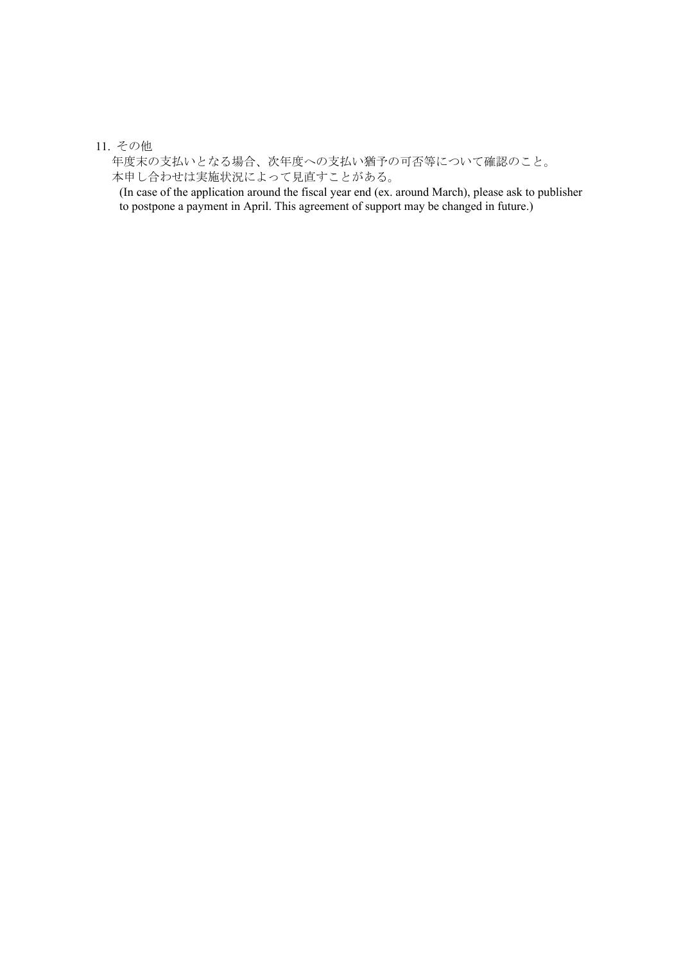## 11. その他

年度末の支払いとなる場合、次年度への支払い猶予の可否等について確認のこと。 本申し合わせは実施状況によって見直すことがある。

(In case of the application around the fiscal year end (ex. around March), please ask to publisher to postpone a payment in April. This agreement of support may be changed in future.)